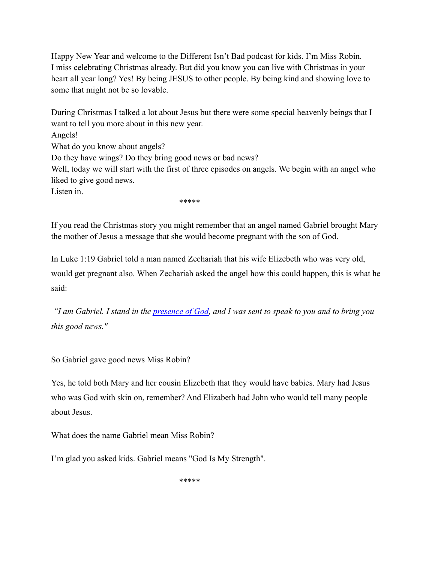Happy New Year and welcome to the Different Isn't Bad podcast for kids. I'm Miss Robin. I miss celebrating Christmas already. But did you know you can live with Christmas in your heart all year long? Yes! By being JESUS to other people. By being kind and showing love to some that might not be so lovable.

During Christmas I talked a lot about Jesus but there were some special heavenly beings that I want to tell you more about in this new year. Angels! What do you know about angels? Do they have wings? Do they bring good news or bad news? Well, today we will start with the first of three episodes on angels. We begin with an angel who liked to give good news. Listen in.

\*\*\*\*\*

If you read the Christmas story you might remember that an angel named Gabriel brought Mary the mother of Jesus a message that she would become pregnant with the son of God.

In Luke 1:19 Gabriel told a man named Zechariah that his wife Elizebeth who was very old, would get pregnant also. When Zechariah asked the angel how this could happen, this is what he said:

*"I am Gabriel. I stand in the [presence of God,](https://www.christianity.com/wiki/god/what-does-it-mean-to-be-in-the-presence-of-god-isn-t-he-always-with-us.html) and I was sent to speak to you and to bring you this good news."*

So Gabriel gave good news Miss Robin?

Yes, he told both Mary and her cousin Elizebeth that they would have babies. Mary had Jesus who was God with skin on, remember? And Elizabeth had John who would tell many people about Jesus.

What does the name Gabriel mean Miss Robin?

I'm glad you asked kids. Gabriel means "God Is My Strength".

\*\*\*\*\*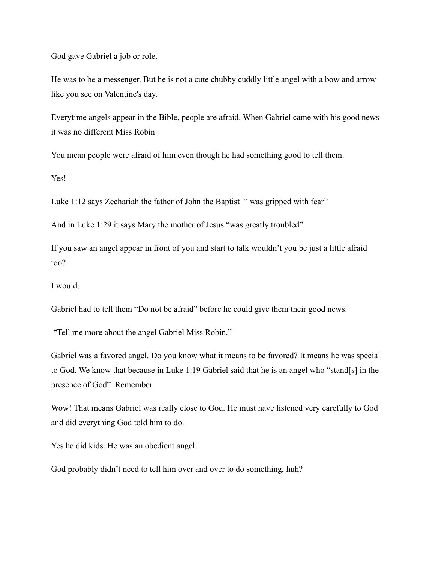God gave Gabriel a job or role.

He was to be a messenger. But he is not a cute chubby cuddly little angel with a bow and arrow like you see on Valentine's day.

Everytime angels appear in the Bible, people are afraid. When Gabriel came with his good news it was no different Miss Robin

You mean people were afraid of him even though he had something good to tell them.

Yes!

Luke 1:12 says Zechariah the father of John the Baptist " was gripped with fear"

And in Luke 1:29 it says Mary the mother of Jesus "was greatly troubled"

If you saw an angel appear in front of you and start to talk wouldn't you be just a little afraid too?

I would.

Gabriel had to tell them "Do not be afraid" before he could give them their good news.

"Tell me more about the angel Gabriel Miss Robin."

Gabriel was a favored angel. Do you know what it means to be favored? It means he was special to God. We know that because in Luke 1:19 Gabriel said that he is an angel who "stand[s] in the presence of God" Remember.

Wow! That means Gabriel was really close to God. He must have listened very carefully to God and did everything God told him to do.

Yes he did kids. He was an obedient angel.

God probably didn't need to tell him over and over to do something, huh?